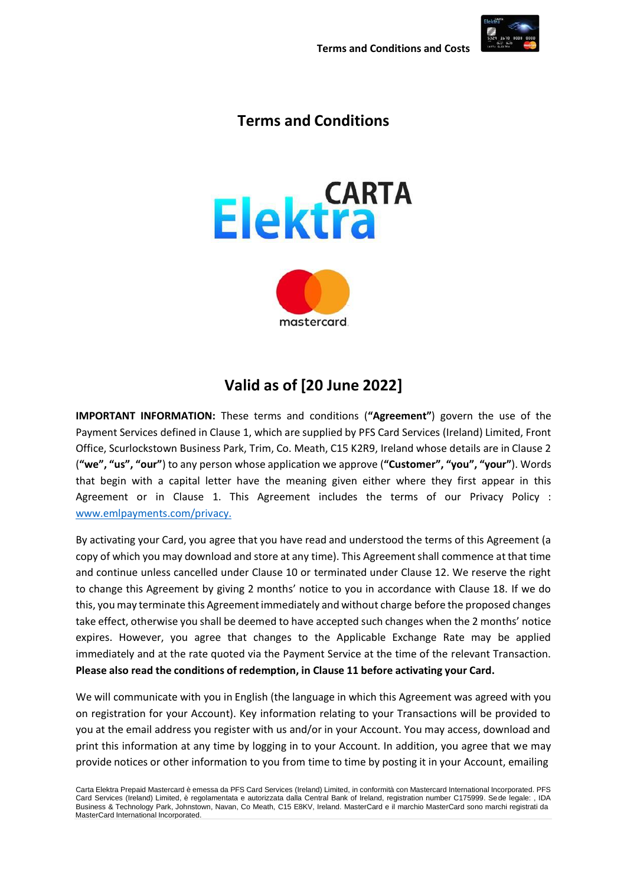

# **Terms and Conditions**



mastercard

# **Valid as of [20 June 2022]**

**IMPORTANT INFORMATION:** These terms and conditions (**"Agreement"**) govern the use of the Payment Services defined in Clause 1, which are supplied by PFS Card Services (Ireland) Limited, Front Office, Scurlockstown Business Park, Trim, Co. Meath, C15 K2R9, Ireland whose details are in Clause 2 (**"we", "us", "our"**) to any person whose application we approve (**"Customer", "you", "your"**). Words that begin with a capital letter have the meaning given either where they first appear in this Agreement or in Clause 1. This Agreement includes the terms of our Privacy Policy : [www.emlpayments.com/privacy.](https://www.cartaelektra.it/supporto/privacypolicy/)

By activating your Card, you agree that you have read and understood the terms of this Agreement (a copy of which you may download and store at any time). This Agreementshall commence at that time and continue unless cancelled under Clause 10 or terminated under Clause 12. We reserve the right to change this Agreement by giving 2 months' notice to you in accordance with Clause 18. If we do this, you may terminate this Agreementimmediately and without charge before the proposed changes take effect, otherwise you shall be deemed to have accepted such changes when the 2 months' notice expires. However, you agree that changes to the Applicable Exchange Rate may be applied immediately and at the rate quoted via the Payment Service at the time of the relevant Transaction. **Please also read the conditions of redemption, in Clause 11 before activating your Card.**

We will communicate with you in English (the language in which this Agreement was agreed with you on registration for your Account). Key information relating to your Transactions will be provided to you at the email address you register with us and/or in your Account. You may access, download and print this information at any time by logging in to your Account. In addition, you agree that we may provide notices or other information to you from time to time by posting it in your Account, emailing

Carta Elektra Prepaid Mastercard è emessa da PFS Card Services (Ireland) Limited, in conformità con Mastercard International Incorporated. PFS Card Services (Ireland) Limited, è regolamentata e autorizzata dalla Central Bank of Ireland, registration number C175999. Sede legale: , IDA Business & Technology Park, Johnstown, Navan, Co Meath, C15 E8KV, Ireland. MasterCard e il marchio MasterCard sono marchi registrati da MasterCard International Incorporated.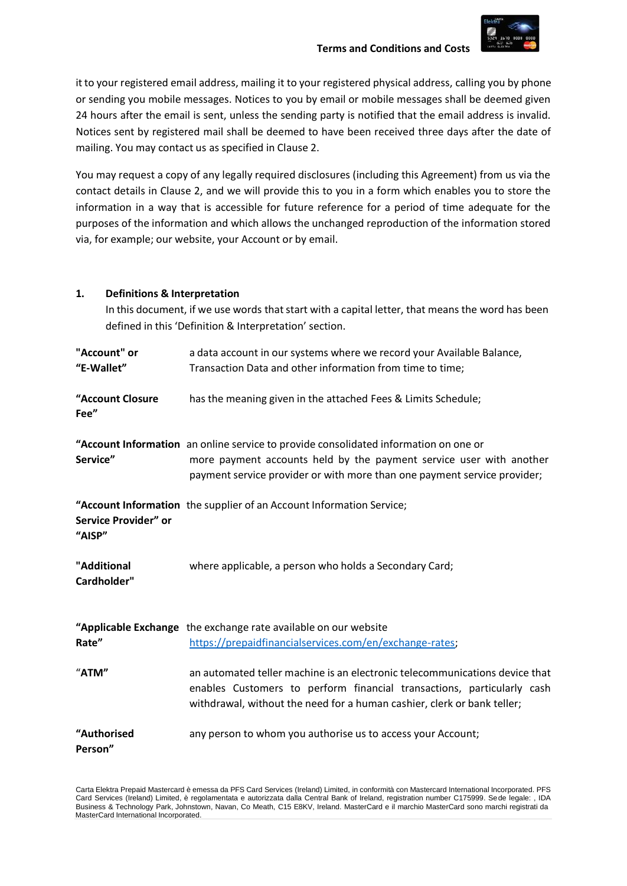

it to your registered email address, mailing it to your registered physical address, calling you by phone or sending you mobile messages. Notices to you by email or mobile messages shall be deemed given 24 hours after the email is sent, unless the sending party is notified that the email address is invalid. Notices sent by registered mail shall be deemed to have been received three days after the date of mailing. You may contact us as specified in Clause 2.

You may request a copy of any legally required disclosures (including this Agreement) from us via the contact details in Clause 2, and we will provide this to you in a form which enables you to store the information in a way that is accessible for future reference for a period of time adequate for the purposes of the information and which allows the unchanged reproduction of the information stored via, for example; our website, your Account or by email.

| 1.                             | <b>Definitions &amp; Interpretation</b><br>In this document, if we use words that start with a capital letter, that means the word has been                                                                                             |  |  |  |
|--------------------------------|-----------------------------------------------------------------------------------------------------------------------------------------------------------------------------------------------------------------------------------------|--|--|--|
|                                | defined in this 'Definition & Interpretation' section.                                                                                                                                                                                  |  |  |  |
| "Account" or<br>"E-Wallet"     | a data account in our systems where we record your Available Balance,<br>Transaction Data and other information from time to time;                                                                                                      |  |  |  |
| "Account Closure<br>Fee"       | has the meaning given in the attached Fees & Limits Schedule;                                                                                                                                                                           |  |  |  |
| Service"                       | "Account Information an online service to provide consolidated information on one or<br>more payment accounts held by the payment service user with another<br>payment service provider or with more than one payment service provider; |  |  |  |
| Service Provider" or<br>"AISP" | "Account Information the supplier of an Account Information Service;                                                                                                                                                                    |  |  |  |
| "Additional<br>Cardholder"     | where applicable, a person who holds a Secondary Card;                                                                                                                                                                                  |  |  |  |
| Rate"                          | "Applicable Exchange the exchange rate available on our website<br>https://prepaidfinancialservices.com/en/exchange-rates;                                                                                                              |  |  |  |
| "ATM"                          | an automated teller machine is an electronic telecommunications device that<br>enables Customers to perform financial transactions, particularly cash<br>withdrawal, without the need for a human cashier, clerk or bank teller;        |  |  |  |
| "Authorised<br>Person"         | any person to whom you authorise us to access your Account;                                                                                                                                                                             |  |  |  |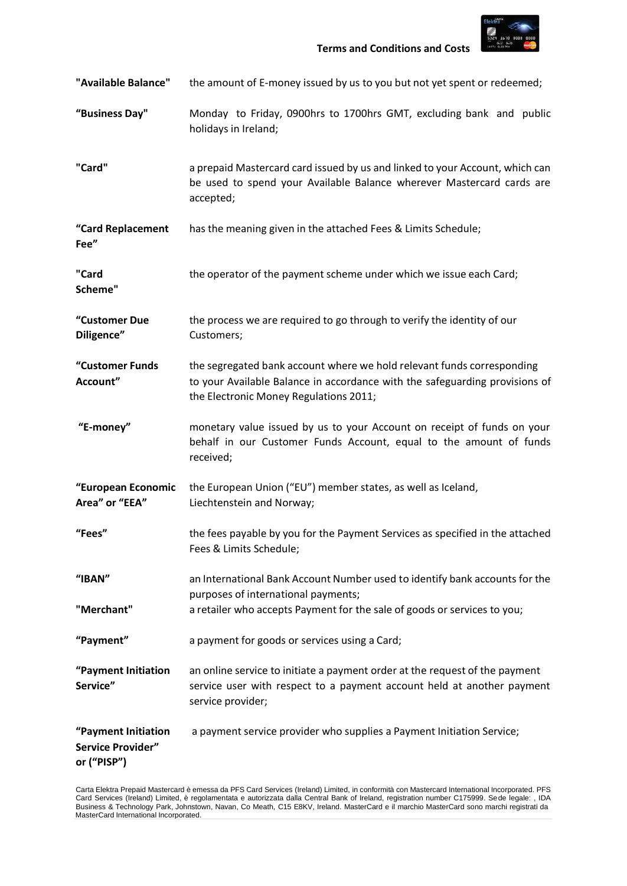

| "Available Balance"                                     | the amount of E-money issued by us to you but not yet spent or redeemed;                                                                                                                        |
|---------------------------------------------------------|-------------------------------------------------------------------------------------------------------------------------------------------------------------------------------------------------|
| "Business Day"                                          | Monday to Friday, 0900hrs to 1700hrs GMT, excluding bank and public<br>holidays in Ireland;                                                                                                     |
| "Card"                                                  | a prepaid Mastercard card issued by us and linked to your Account, which can<br>be used to spend your Available Balance wherever Mastercard cards are<br>accepted;                              |
| "Card Replacement<br>Fee"                               | has the meaning given in the attached Fees & Limits Schedule;                                                                                                                                   |
| "Card<br>Scheme"                                        | the operator of the payment scheme under which we issue each Card;                                                                                                                              |
| "Customer Due<br>Diligence"                             | the process we are required to go through to verify the identity of our<br>Customers;                                                                                                           |
| "Customer Funds<br>Account"                             | the segregated bank account where we hold relevant funds corresponding<br>to your Available Balance in accordance with the safeguarding provisions of<br>the Electronic Money Regulations 2011; |
| "E-money"                                               | monetary value issued by us to your Account on receipt of funds on your<br>behalf in our Customer Funds Account, equal to the amount of funds<br>received;                                      |
| "European Economic<br>Area" or "EEA"                    | the European Union ("EU") member states, as well as Iceland,<br>Liechtenstein and Norway;                                                                                                       |
| "Fees"                                                  | the fees payable by you for the Payment Services as specified in the attached<br>Fees & Limits Schedule;                                                                                        |
| "IBAN"<br>"Merchant"                                    | an International Bank Account Number used to identify bank accounts for the<br>purposes of international payments;<br>a retailer who accepts Payment for the sale of goods or services to you;  |
|                                                         |                                                                                                                                                                                                 |
| "Payment"                                               | a payment for goods or services using a Card;                                                                                                                                                   |
| "Payment Initiation<br>Service"                         | an online service to initiate a payment order at the request of the payment<br>service user with respect to a payment account held at another payment<br>service provider;                      |
| "Payment Initiation<br>Service Provider"<br>or ("PISP") | a payment service provider who supplies a Payment Initiation Service;                                                                                                                           |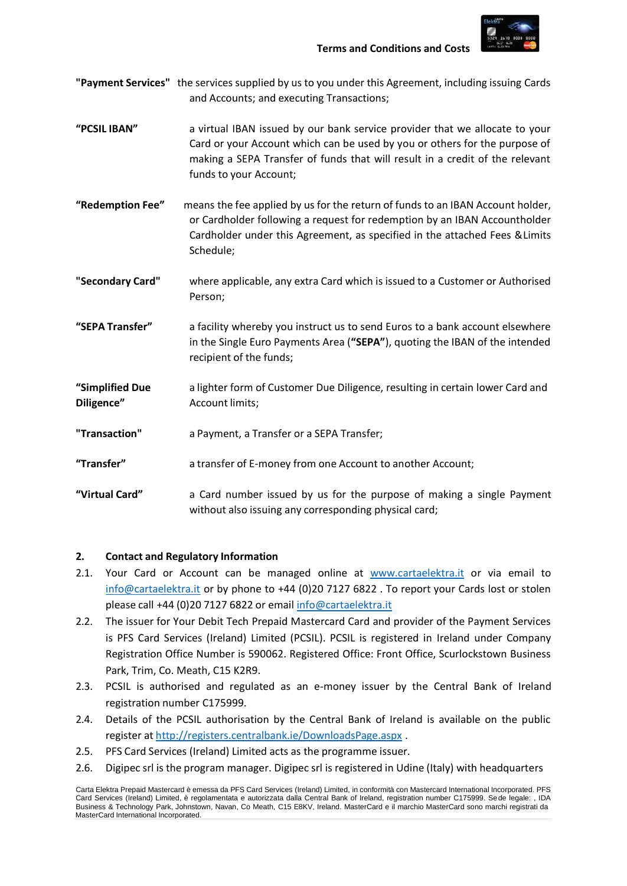

- **"Payment Services"** the services supplied by us to you under this Agreement, including issuing Cards and Accounts; and executing Transactions;
- **"PCSIL IBAN"** a virtual IBAN issued by our bank service provider that we allocate to your Card or your Account which can be used by you or others for the purpose of making a SEPA Transfer of funds that will result in a credit of the relevant funds to your Account;
- **"Redemption Fee"** means the fee applied by us for the return of funds to an IBAN Account holder, or Cardholder following a request for redemption by an IBAN Accountholder Cardholder under this Agreement, as specified in the attached Fees &Limits Schedule;
- **"Secondary Card"** where applicable, any extra Card which is issued to a Customer or Authorised Person;
- **"SEPA Transfer"** a facility whereby you instruct us to send Euros to a bank account elsewhere in the Single Euro Payments Area (**"SEPA"**), quoting the IBAN of the intended recipient of the funds;
- **"Simplified Due** a lighter form of Customer Due Diligence, resulting in certain lower Card and **Diligence"** Account limits;
- **"Transaction"** a Payment, a Transfer or a SEPA Transfer;
- **"Transfer"** a transfer of E-money from one Account to another Account;
- **"Virtual Card"** a Card number issued by us for the purpose of making a single Payment without also issuing any corresponding physical card;

#### **2. Contact and Regulatory Information**

- 2.1. Your Card or Account can be managed online at [www.cartaelektra.it](http://www.cartaelektra.it/) or via email to [info@cartaelektra.it](mailto:info@cartaelektra.it) or by phone to +44 (0)20 7127 6822 . To report your Cards lost or stolen please call +44 (0)20 7127 6822 or email [info@cartaelektra.it](mailto:info@cartaelektra.it)
- 2.2. The issuer for Your Debit Tech Prepaid Mastercard Card and provider of the Payment Services is PFS Card Services (Ireland) Limited (PCSIL). PCSIL is registered in Ireland under Company Registration Office Number is 590062. Registered Office: Front Office, Scurlockstown Business Park, Trim, Co. Meath, C15 K2R9.
- 2.3. PCSIL is authorised and regulated as an e-money issuer by the Central Bank of Ireland registration number C175999.
- 2.4. Details of the PCSIL authorisation by the Central Bank of Ireland is available on the public register at <http://registers.centralbank.ie/DownloadsPage.aspx> .
- 2.5. PFS Card Services (Ireland) Limited acts as the programme issuer.
- 2.6. Digipec srl is the program manager. Digipec srl is registered in Udine (Italy) with headquarters

Carta Elektra Prepaid Mastercard è emessa da PFS Card Services (Ireland) Limited, in conformità con Mastercard International Incorporated. PFS Card Services (Ireland) Limited, è regolamentata e autorizzata dalla Central Bank of Ireland, registration number C175999. Sede legale: , IDA Business & Technology Park, Johnstown, Navan, Co Meath, C15 E8KV, Ireland. MasterCard e il marchio MasterCard sono marchi registrati da MasterCard International Incorporated.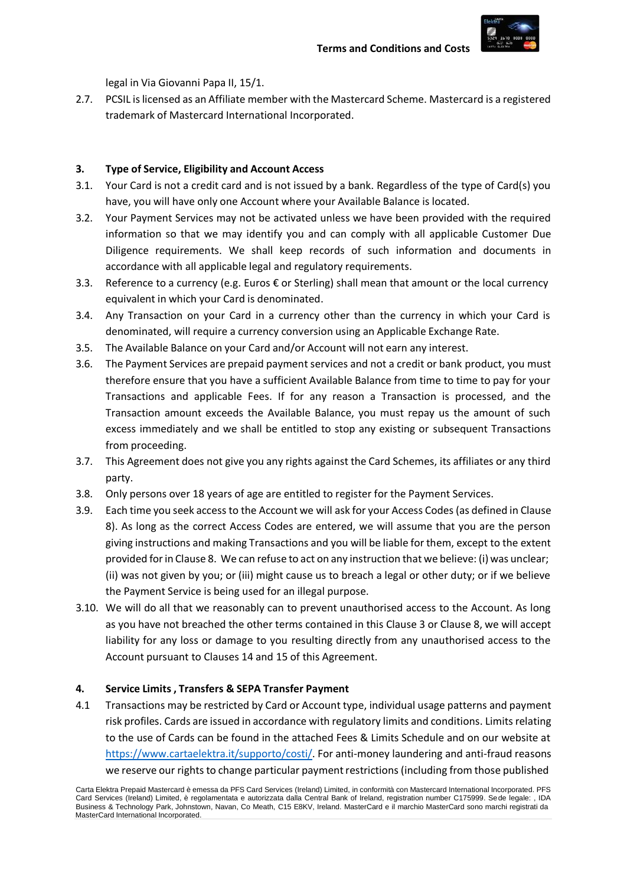

legal in Via Giovanni Papa II, 15/1.

2.7. PCSIL islicensed as an Affiliate member with the Mastercard Scheme. Mastercard is a registered trademark of Mastercard International Incorporated.

#### **3. Type of Service, Eligibility and Account Access**

- 3.1. Your Card is not a credit card and is not issued by a bank. Regardless of the type of Card(s) you have, you will have only one Account where your Available Balance is located.
- 3.2. Your Payment Services may not be activated unless we have been provided with the required information so that we may identify you and can comply with all applicable Customer Due Diligence requirements. We shall keep records of such information and documents in accordance with all applicable legal and regulatory requirements.
- 3.3. Reference to a currency (e.g. Euros  $\epsilon$  or Sterling) shall mean that amount or the local currency equivalent in which your Card is denominated.
- 3.4. Any Transaction on your Card in a currency other than the currency in which your Card is denominated, will require a currency conversion using an Applicable Exchange Rate.
- 3.5. The Available Balance on your Card and/or Account will not earn any interest.
- 3.6. The Payment Services are prepaid payment services and not a credit or bank product, you must therefore ensure that you have a sufficient Available Balance from time to time to pay for your Transactions and applicable Fees. If for any reason a Transaction is processed, and the Transaction amount exceeds the Available Balance, you must repay us the amount of such excess immediately and we shall be entitled to stop any existing or subsequent Transactions from proceeding.
- 3.7. This Agreement does not give you any rights against the Card Schemes, its affiliates or any third party.
- 3.8. Only persons over 18 years of age are entitled to register for the Payment Services.
- 3.9. Each time you seek access to the Account we will ask for your Access Codes(as defined in Clause 8). As long as the correct Access Codes are entered, we will assume that you are the person giving instructions and making Transactions and you will be liable for them, except to the extent provided forin Clause 8. We can refuse to act on any instruction that we believe: (i) was unclear; (ii) was not given by you; or (iii) might cause us to breach a legal or other duty; or if we believe the Payment Service is being used for an illegal purpose.
- 3.10. We will do all that we reasonably can to prevent unauthorised access to the Account. As long as you have not breached the other terms contained in this Clause 3 or Clause 8, we will accept liability for any loss or damage to you resulting directly from any unauthorised access to the Account pursuant to Clauses 14 and 15 of this Agreement.

#### **4. Service Limits , Transfers & SEPA Transfer Payment**

4.1 Transactions may be restricted by Card or Account type, individual usage patterns and payment risk profiles. Cards are issued in accordance with regulatory limits and conditions. Limits relating to the use of Cards can be found in the attached Fees & Limits Schedule and on our website at [https://www.cartaelektra.it/supporto/costi/.](https://www.cartaelektra.it/supporto/costi/) For anti-money laundering and anti-fraud reasons we reserve our rights to change particular payment restrictions (including from those published

Carta Elektra Prepaid Mastercard è emessa da PFS Card Services (Ireland) Limited, in conformità con Mastercard International Incorporated. PFS Card Services (Ireland) Limited, è regolamentata e autorizzata dalla Central Bank of Ireland, registration number C175999. Sede legale: , IDA Business & Technology Park, Johnstown, Navan, Co Meath, C15 E8KV, Ireland. MasterCard e il marchio MasterCard sono marchi registrati da MasterCard International Incorporated.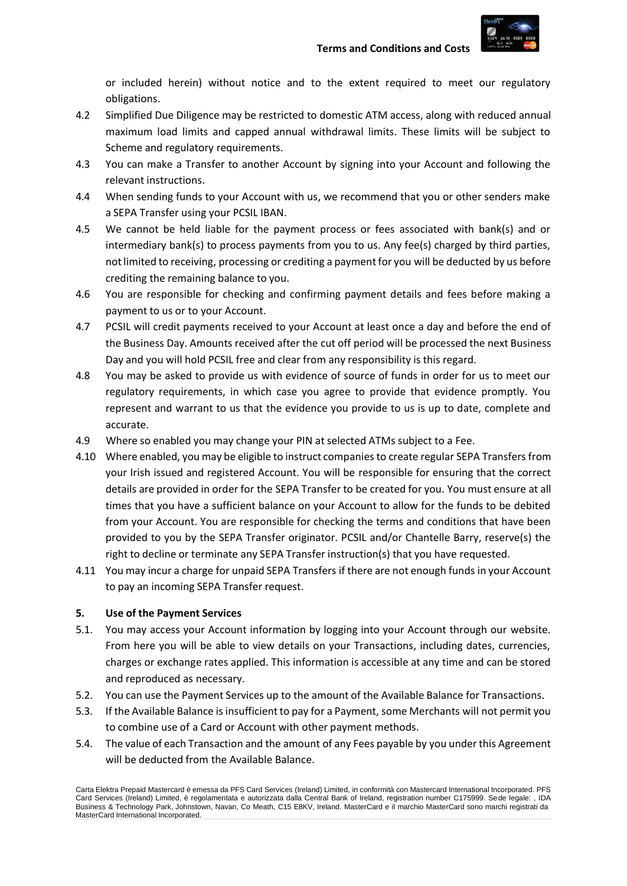or included herein) without notice and to the extent required to meet our regulatory obligations.

- 4.2 Simplified Due Diligence may be restricted to domestic ATM access, along with reduced annual maximum load limits and capped annual withdrawal limits. These limits will be subject to Scheme and regulatory requirements.
- 4.3 You can make a Transfer to another Account by signing into your Account and following the relevant instructions.
- 4.4 When sending funds to your Account with us, we recommend that you or other senders make a SEPA Transfer using your PCSIL IBAN.
- 4.5 We cannot be held liable for the payment process or fees associated with bank(s) and or intermediary bank(s) to process payments from you to us. Any fee(s) charged by third parties, not limited to receiving, processing or crediting a payment for you will be deducted by us before crediting the remaining balance to you.
- 4.6 You are responsible for checking and confirming payment details and fees before making a payment to us or to your Account.
- 4.7 PCSIL will credit payments received to your Account at least once a day and before the end of the Business Day. Amounts received after the cut off period will be processed the next Business Day and you will hold PCSIL free and clear from any responsibility is this regard.
- 4.8 You may be asked to provide us with evidence of source of funds in order for us to meet our regulatory requirements, in which case you agree to provide that evidence promptly. You represent and warrant to us that the evidence you provide to us is up to date, complete and accurate.
- 4.9 Where so enabled you may change your PIN atselected ATMs subject to a Fee.
- 4.10 Where enabled, you may be eligible to instruct companiesto create regular SEPA Transfers from your Irish issued and registered Account. You will be responsible for ensuring that the correct details are provided in order for the SEPA Transfer to be created for you. You must ensure at all times that you have a sufficient balance on your Account to allow for the funds to be debited from your Account. You are responsible for checking the terms and conditions that have been provided to you by the SEPA Transfer originator. PCSIL and/or Chantelle Barry, reserve(s) the right to decline or terminate any SEPA Transfer instruction(s) that you have requested.
- 4.11 You may incur a charge for unpaid SEPA Transfers if there are not enough funds in your Account to pay an incoming SEPA Transfer request.

#### **5. Use of the Payment Services**

- 5.1. You may access your Account information by logging into your Account through our website. From here you will be able to view details on your Transactions, including dates, currencies, charges or exchange rates applied. This information is accessible at any time and can be stored and reproduced as necessary.
- 5.2. You can use the Payment Services up to the amount of the Available Balance for Transactions.
- 5.3. If the Available Balance isinsufficient to pay for a Payment, some Merchants will not permit you to combine use of a Card or Account with other payment methods.
- 5.4. The value of each Transaction and the amount of any Fees payable by you under this Agreement will be deducted from the Available Balance.

Carta Elektra Prepaid Mastercard è emessa da PFS Card Services (Ireland) Limited, in conformità con Mastercard International Incorporated. PFS Card Services (Ireland) Limited, è regolamentata e autorizzata dalla Central Bank of Ireland, registration number C175999. Sede legale: , IDA Business & Technology Park, Johnstown, Navan, Co Meath, C15 E8KV, Ireland. MasterCard e il marchio MasterCard sono marchi registrati da MasterCard International Incorporated.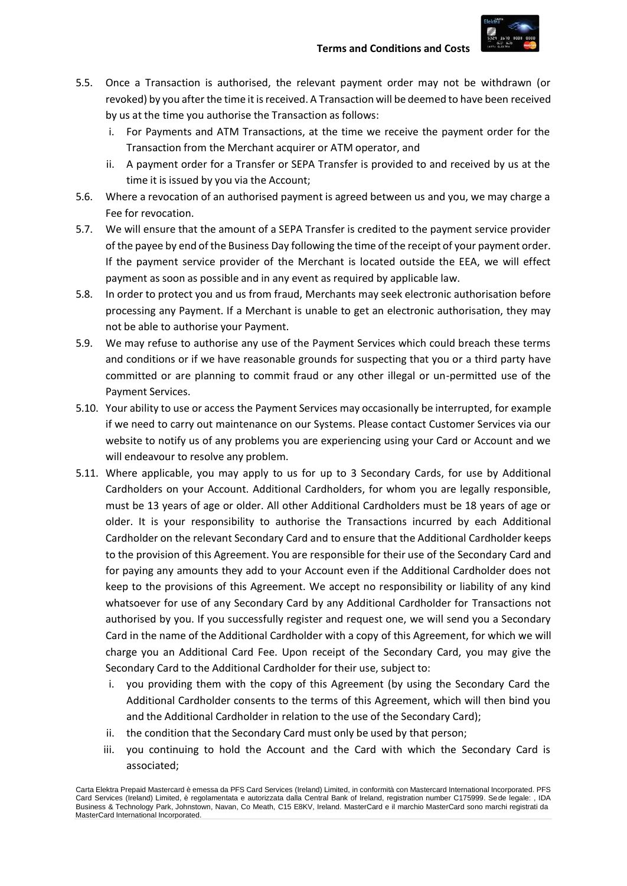

- 5.5. Once a Transaction is authorised, the relevant payment order may not be withdrawn (or revoked) by you after the time it is received. A Transaction will be deemed to have been received by us at the time you authorise the Transaction as follows:
	- i. For Payments and ATM Transactions, at the time we receive the payment order for the Transaction from the Merchant acquirer or ATM operator, and
	- ii. A payment order for a Transfer or SEPA Transfer is provided to and received by us at the time it is issued by you via the Account;
- 5.6. Where a revocation of an authorised payment is agreed between us and you, we may charge a Fee for revocation.
- 5.7. We will ensure that the amount of a SEPA Transfer is credited to the payment service provider of the payee by end of the Business Day following the time of the receipt of your payment order. If the payment service provider of the Merchant is located outside the EEA, we will effect payment as soon as possible and in any event as required by applicable law.
- 5.8. In order to protect you and us from fraud, Merchants may seek electronic authorisation before processing any Payment. If a Merchant is unable to get an electronic authorisation, they may not be able to authorise your Payment.
- 5.9. We may refuse to authorise any use of the Payment Services which could breach these terms and conditions or if we have reasonable grounds for suspecting that you or a third party have committed or are planning to commit fraud or any other illegal or un-permitted use of the Payment Services.
- 5.10. Your ability to use or access the Payment Services may occasionally be interrupted, for example if we need to carry out maintenance on our Systems. Please contact Customer Services via our website to notify us of any problems you are experiencing using your Card or Account and we will endeavour to resolve any problem.
- 5.11. Where applicable, you may apply to us for up to 3 Secondary Cards, for use by Additional Cardholders on your Account. Additional Cardholders, for whom you are legally responsible, must be 13 years of age or older. All other Additional Cardholders must be 18 years of age or older. It is your responsibility to authorise the Transactions incurred by each Additional Cardholder on the relevant Secondary Card and to ensure that the Additional Cardholder keeps to the provision of this Agreement. You are responsible for their use of the Secondary Card and for paying any amounts they add to your Account even if the Additional Cardholder does not keep to the provisions of this Agreement. We accept no responsibility or liability of any kind whatsoever for use of any Secondary Card by any Additional Cardholder for Transactions not authorised by you. If you successfully register and request one, we will send you a Secondary Card in the name of the Additional Cardholder with a copy of this Agreement, for which we will charge you an Additional Card Fee. Upon receipt of the Secondary Card, you may give the Secondary Card to the Additional Cardholder for their use, subject to:
	- i. you providing them with the copy of this Agreement (by using the Secondary Card the Additional Cardholder consents to the terms of this Agreement, which will then bind you and the Additional Cardholder in relation to the use of the Secondary Card);
	- ii. the condition that the Secondary Card must only be used by that person;
	- iii. you continuing to hold the Account and the Card with which the Secondary Card is associated;

Carta Elektra Prepaid Mastercard è emessa da PFS Card Services (Ireland) Limited, in conformità con Mastercard International Incorporated. PFS Card Services (Ireland) Limited, è regolamentata e autorizzata dalla Central Bank of Ireland, registration number C175999. Sede legale: , IDA Business & Technology Park, Johnstown, Navan, Co Meath, C15 E8KV, Ireland. MasterCard e il marchio MasterCard sono marchi registrati da MasterCard International Incorporated.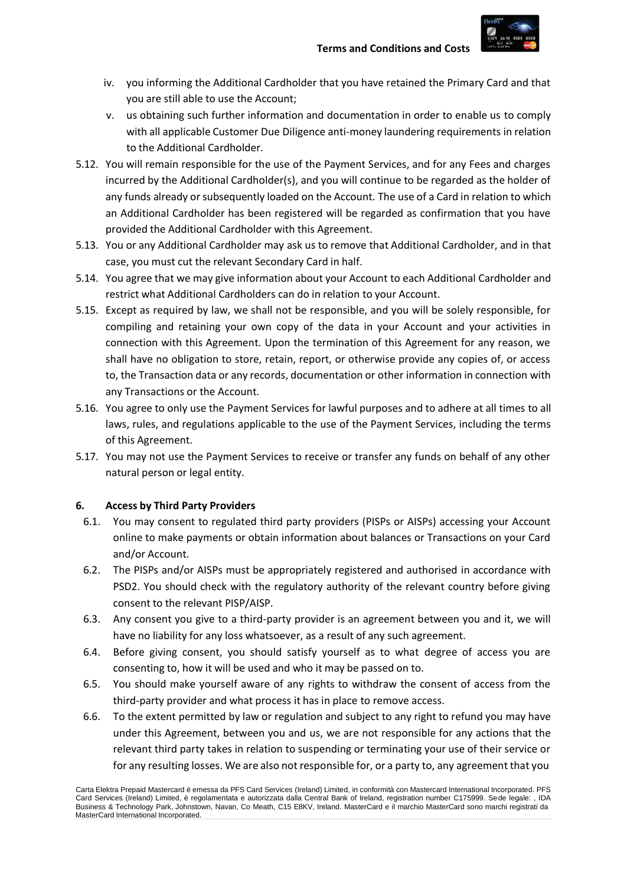

- iv. you informing the Additional Cardholder that you have retained the Primary Card and that you are still able to use the Account;
- v. us obtaining such further information and documentation in order to enable us to comply with all applicable Customer Due Diligence anti-money laundering requirements in relation to the Additional Cardholder.
- 5.12. You will remain responsible for the use of the Payment Services, and for any Fees and charges incurred by the Additional Cardholder(s), and you will continue to be regarded as the holder of any funds already or subsequently loaded on the Account. The use of a Card in relation to which an Additional Cardholder has been registered will be regarded as confirmation that you have provided the Additional Cardholder with this Agreement.
- 5.13. You or any Additional Cardholder may ask us to remove that Additional Cardholder, and in that case, you must cut the relevant Secondary Card in half.
- 5.14. You agree that we may give information about your Account to each Additional Cardholder and restrict what Additional Cardholders can do in relation to your Account.
- 5.15. Except as required by law, we shall not be responsible, and you will be solely responsible, for compiling and retaining your own copy of the data in your Account and your activities in connection with this Agreement. Upon the termination of this Agreement for any reason, we shall have no obligation to store, retain, report, or otherwise provide any copies of, or access to, the Transaction data or any records, documentation or other information in connection with any Transactions or the Account.
- 5.16. You agree to only use the Payment Services for lawful purposes and to adhere at all times to all laws, rules, and regulations applicable to the use of the Payment Services, including the terms of this Agreement.
- 5.17. You may not use the Payment Services to receive or transfer any funds on behalf of any other natural person or legal entity.

### **6. Access by Third Party Providers**

- 6.1. You may consent to regulated third party providers (PISPs or AISPs) accessing your Account online to make payments or obtain information about balances or Transactions on your Card and/or Account.
- 6.2. The PISPs and/or AISPs must be appropriately registered and authorised in accordance with PSD2. You should check with the regulatory authority of the relevant country before giving consent to the relevant PISP/AISP.
- 6.3. Any consent you give to a third-party provider is an agreement between you and it, we will have no liability for any loss whatsoever, as a result of any such agreement.
- 6.4. Before giving consent, you should satisfy yourself as to what degree of access you are consenting to, how it will be used and who it may be passed on to.
- 6.5. You should make yourself aware of any rights to withdraw the consent of access from the third-party provider and what process it has in place to remove access.
- 6.6. To the extent permitted by law or regulation and subject to any right to refund you may have under this Agreement, between you and us, we are not responsible for any actions that the relevant third party takes in relation to suspending or terminating your use of their service or for any resulting losses. We are also not responsible for, or a party to, any agreement that you

Carta Elektra Prepaid Mastercard è emessa da PFS Card Services (Ireland) Limited, in conformità con Mastercard International Incorporated. PFS Card Services (Ireland) Limited, è regolamentata e autorizzata dalla Central Bank of Ireland, registration number C175999. Sede legale: , IDA Business & Technology Park, Johnstown, Navan, Co Meath, C15 E8KV, Ireland. MasterCard e il marchio MasterCard sono marchi registrati da MasterCard International Incorporated.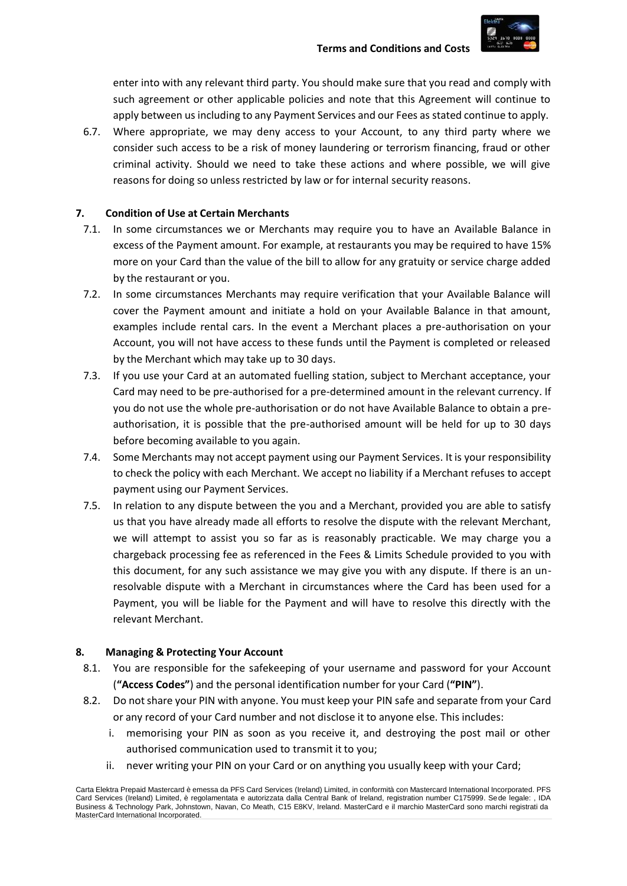

enter into with any relevant third party. You should make sure that you read and comply with such agreement or other applicable policies and note that this Agreement will continue to apply between usincluding to any Payment Services and our Fees as stated continue to apply.

6.7. Where appropriate, we may deny access to your Account, to any third party where we consider such access to be a risk of money laundering or terrorism financing, fraud or other criminal activity. Should we need to take these actions and where possible, we will give reasons for doing so unless restricted by law or for internal security reasons.

#### **7. Condition of Use at Certain Merchants**

- 7.1. In some circumstances we or Merchants may require you to have an Available Balance in excess of the Payment amount. For example, at restaurants you may be required to have 15% more on your Card than the value of the bill to allow for any gratuity or service charge added by the restaurant or you.
- 7.2. In some circumstances Merchants may require verification that your Available Balance will cover the Payment amount and initiate a hold on your Available Balance in that amount, examples include rental cars. In the event a Merchant places a pre-authorisation on your Account, you will not have access to these funds until the Payment is completed or released by the Merchant which may take up to 30 days.
- 7.3. If you use your Card at an automated fuelling station, subject to Merchant acceptance, your Card may need to be pre-authorised for a pre-determined amount in the relevant currency. If you do not use the whole pre-authorisation or do not have Available Balance to obtain a preauthorisation, it is possible that the pre-authorised amount will be held for up to 30 days before becoming available to you again.
- 7.4. Some Merchants may not accept payment using our Payment Services. It is your responsibility to check the policy with each Merchant. We accept no liability if a Merchant refuses to accept payment using our Payment Services.
- 7.5. In relation to any dispute between the you and a Merchant, provided you are able to satisfy us that you have already made all efforts to resolve the dispute with the relevant Merchant, we will attempt to assist you so far as is reasonably practicable. We may charge you a chargeback processing fee as referenced in the Fees & Limits Schedule provided to you with this document, for any such assistance we may give you with any dispute. If there is an unresolvable dispute with a Merchant in circumstances where the Card has been used for a Payment, you will be liable for the Payment and will have to resolve this directly with the relevant Merchant.

#### **8. Managing & Protecting Your Account**

- 8.1. You are responsible for the safekeeping of your username and password for your Account (**"Access Codes"**) and the personal identification number for your Card (**"PIN"**).
- 8.2. Do notshare your PIN with anyone. You must keep your PIN safe and separate from your Card or any record of your Card number and not disclose it to anyone else. This includes:
	- i. memorising your PIN as soon as you receive it, and destroying the post mail or other authorised communication used to transmit it to you;
	- ii. never writing your PIN on your Card or on anything you usually keep with your Card;

Carta Elektra Prepaid Mastercard è emessa da PFS Card Services (Ireland) Limited, in conformità con Mastercard International Incorporated. PFS Card Services (Ireland) Limited, è regolamentata e autorizzata dalla Central Bank of Ireland, registration number C175999. Sede legale: , IDA Business & Technology Park, Johnstown, Navan, Co Meath, C15 E8KV, Ireland. MasterCard e il marchio MasterCard sono marchi registrati da MasterCard International Incorporated.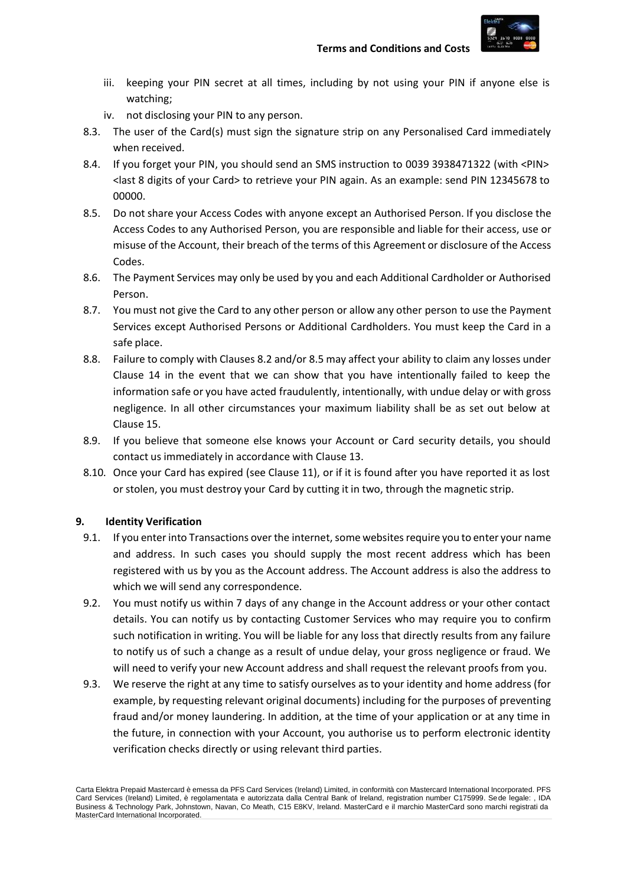

- iii. keeping your PIN secret at all times, including by not using your PIN if anyone else is watching;
- iv. not disclosing your PIN to any person.
- 8.3. The user of the Card(s) must sign the signature strip on any Personalised Card immediately when received.
- 8.4. If you forget your PIN, you should send an SMS instruction to 0039 3938471322 (with <PIN> <last 8 digits of your Card> to retrieve your PIN again. As an example: send PIN 12345678 to 00000.
- 8.5. Do not share your Access Codes with anyone except an Authorised Person. If you disclose the Access Codes to any Authorised Person, you are responsible and liable for their access, use or misuse of the Account, their breach of the terms of this Agreement or disclosure of the Access Codes.
- 8.6. The Payment Services may only be used by you and each Additional Cardholder or Authorised Person.
- 8.7. You must not give the Card to any other person or allow any other person to use the Payment Services except Authorised Persons or Additional Cardholders. You must keep the Card in a safe place.
- 8.8. Failure to comply with Clauses 8.2 and/or 8.5 may affect your ability to claim any losses under Clause 14 in the event that we can show that you have intentionally failed to keep the information safe or you have acted fraudulently, intentionally, with undue delay or with gross negligence. In all other circumstances your maximum liability shall be as set out below at Clause 15.
- 8.9. If you believe that someone else knows your Account or Card security details, you should contact us immediately in accordance with Clause 13.
- 8.10. Once your Card has expired (see Clause 11), or if it is found after you have reported it as lost or stolen, you must destroy your Card by cutting it in two, through the magnetic strip.

#### **9. Identity Verification**

- 9.1. If you enter into Transactions over the internet, some websites require you to enter your name and address. In such cases you should supply the most recent address which has been registered with us by you as the Account address. The Account address is also the address to which we will send any correspondence.
- 9.2. You must notify us within 7 days of any change in the Account address or your other contact details. You can notify us by contacting Customer Services who may require you to confirm such notification in writing. You will be liable for any loss that directly results from any failure to notify us of such a change as a result of undue delay, your gross negligence or fraud. We will need to verify your new Account address and shall request the relevant proofs from you.
- 9.3. We reserve the right at any time to satisfy ourselves asto your identity and home address (for example, by requesting relevant original documents) including for the purposes of preventing fraud and/or money laundering. In addition, at the time of your application or at any time in the future, in connection with your Account, you authorise us to perform electronic identity verification checks directly or using relevant third parties.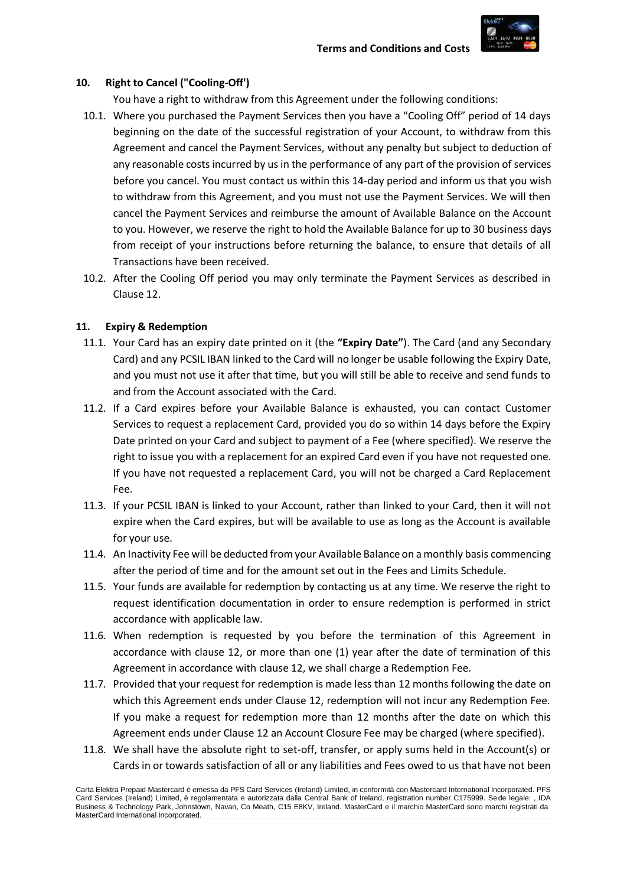

#### **10. Right to Cancel ("Cooling-Off')**

You have a right to withdraw from this Agreement under the following conditions:

- 10.1. Where you purchased the Payment Services then you have a "Cooling Off" period of 14 days beginning on the date of the successful registration of your Account, to withdraw from this Agreement and cancel the Payment Services, without any penalty but subject to deduction of any reasonable costs incurred by us in the performance of any part of the provision of services before you cancel. You must contact us within this 14-day period and inform us that you wish to withdraw from this Agreement, and you must not use the Payment Services. We will then cancel the Payment Services and reimburse the amount of Available Balance on the Account to you. However, we reserve the right to hold the Available Balance for up to 30 business days from receipt of your instructions before returning the balance, to ensure that details of all Transactions have been received.
- 10.2. After the Cooling Off period you may only terminate the Payment Services as described in Clause 12.

#### **11. Expiry & Redemption**

- 11.1. Your Card has an expiry date printed on it (the **"Expiry Date"**). The Card (and any Secondary Card) and any PCSIL IBAN linked to the Card will no longer be usable following the Expiry Date, and you must not use it after that time, but you will still be able to receive and send funds to and from the Account associated with the Card.
- 11.2. If a Card expires before your Available Balance is exhausted, you can contact Customer Services to request a replacement Card, provided you do so within 14 days before the Expiry Date printed on your Card and subject to payment of a Fee (where specified). We reserve the right to issue you with a replacement for an expired Card even if you have not requested one. If you have not requested a replacement Card, you will not be charged a Card Replacement Fee.
- 11.3. If your PCSIL IBAN is linked to your Account, rather than linked to your Card, then it will not expire when the Card expires, but will be available to use as long as the Account is available for your use.
- 11.4. An Inactivity Fee will be deducted from your Available Balance on a monthly basis commencing after the period of time and for the amount set out in the Fees and Limits Schedule.
- 11.5. Your funds are available for redemption by contacting us at any time. We reserve the right to request identification documentation in order to ensure redemption is performed in strict accordance with applicable law.
- 11.6. When redemption is requested by you before the termination of this Agreement in accordance with clause 12, or more than one (1) year after the date of termination of this Agreement in accordance with clause 12, we shall charge a Redemption Fee.
- 11.7. Provided that your request for redemption is made less than 12 months following the date on which this Agreement ends under Clause 12, redemption will not incur any Redemption Fee. If you make a request for redemption more than 12 months after the date on which this Agreement ends under Clause 12 an Account Closure Fee may be charged (where specified).
- 11.8. We shall have the absolute right to set-off, transfer, or apply sums held in the Account(s) or Cards in or towards satisfaction of all or any liabilities and Fees owed to us that have not been

Carta Elektra Prepaid Mastercard è emessa da PFS Card Services (Ireland) Limited, in conformità con Mastercard International Incorporated. PFS Card Services (Ireland) Limited, è regolamentata e autorizzata dalla Central Bank of Ireland, registration number C175999. Sede legale: , IDA Business & Technology Park, Johnstown, Navan, Co Meath, C15 E8KV, Ireland. MasterCard e il marchio MasterCard sono marchi registrati da MasterCard International Incorporated.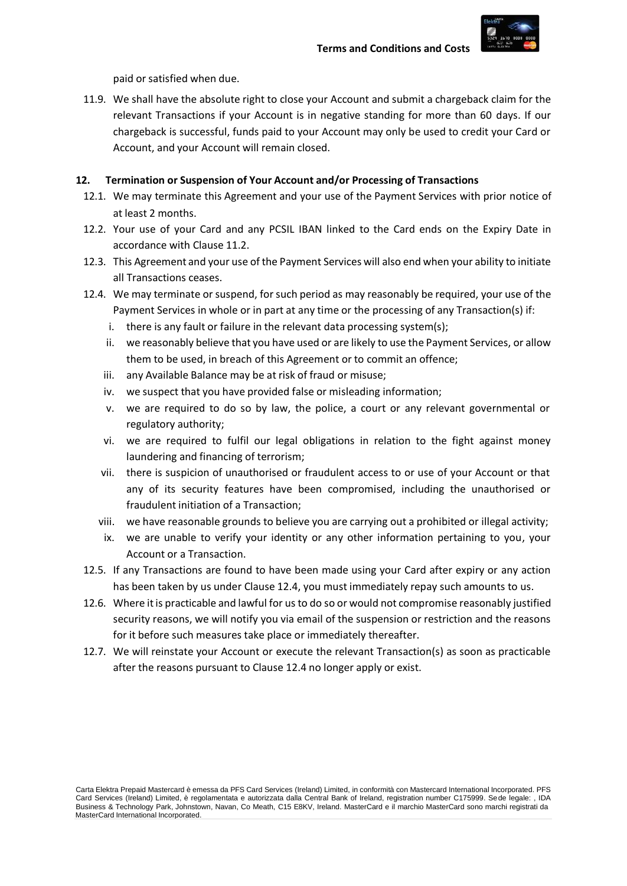

paid or satisfied when due.

11.9. We shall have the absolute right to close your Account and submit a chargeback claim for the relevant Transactions if your Account is in negative standing for more than 60 days. If our chargeback is successful, funds paid to your Account may only be used to credit your Card or Account, and your Account will remain closed.

#### **12. Termination or Suspension of Your Account and/or Processing of Transactions**

- 12.1. We may terminate this Agreement and your use of the Payment Services with prior notice of at least 2 months.
- 12.2. Your use of your Card and any PCSIL IBAN linked to the Card ends on the Expiry Date in accordance with Clause 11.2.
- 12.3. This Agreement and your use of the Payment Services will also end when your ability to initiate all Transactions ceases.
- 12.4. We may terminate or suspend, for such period as may reasonably be required, your use of the Payment Services in whole or in part at any time or the processing of any Transaction(s) if:
	- i. there is any fault or failure in the relevant data processing system(s);
	- ii. we reasonably believe that you have used or are likely to use the Payment Services, or allow them to be used, in breach of this Agreement or to commit an offence;
	- iii. any Available Balance may be at risk of fraud or misuse;
	- iv. we suspect that you have provided false or misleading information;
	- v. we are required to do so by law, the police, a court or any relevant governmental or regulatory authority;
	- vi. we are required to fulfil our legal obligations in relation to the fight against money laundering and financing of terrorism;
	- vii. there is suspicion of unauthorised or fraudulent access to or use of your Account or that any of its security features have been compromised, including the unauthorised or fraudulent initiation of a Transaction;
	- viii. we have reasonable grounds to believe you are carrying out a prohibited or illegal activity;
	- ix. we are unable to verify your identity or any other information pertaining to you, your Account or a Transaction.
- 12.5. If any Transactions are found to have been made using your Card after expiry or any action has been taken by us under Clause 12.4, you must immediately repay such amounts to us.
- 12.6. Where itis practicable and lawful for usto do so or would not compromise reasonably justified security reasons, we will notify you via email of the suspension or restriction and the reasons for it before such measures take place or immediately thereafter.
- 12.7. We will reinstate your Account or execute the relevant Transaction(s) as soon as practicable after the reasons pursuant to Clause 12.4 no longer apply or exist.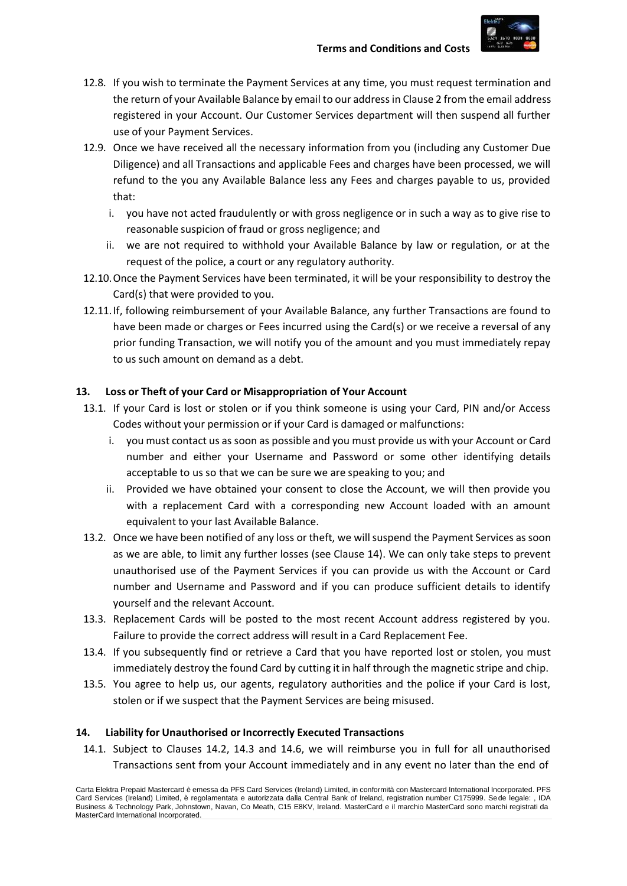

- 12.8. If you wish to terminate the Payment Services at any time, you must request termination and the return of your Available Balance by email to our addressin Clause 2 from the email address registered in your Account. Our Customer Services department will then suspend all further use of your Payment Services.
- 12.9. Once we have received all the necessary information from you (including any Customer Due Diligence) and all Transactions and applicable Fees and charges have been processed, we will refund to the you any Available Balance less any Fees and charges payable to us, provided that:
	- i. you have not acted fraudulently or with gross negligence or in such a way as to give rise to reasonable suspicion of fraud or gross negligence; and
	- ii. we are not required to withhold your Available Balance by law or regulation, or at the request of the police, a court or any regulatory authority.
- 12.10.Once the Payment Services have been terminated, it will be your responsibility to destroy the Card(s) that were provided to you.
- 12.11.If, following reimbursement of your Available Balance, any further Transactions are found to have been made or charges or Fees incurred using the Card(s) or we receive a reversal of any prior funding Transaction, we will notify you of the amount and you must immediately repay to us such amount on demand as a debt.

#### **13. Loss or Theft of your Card or Misappropriation of Your Account**

- 13.1. If your Card is lost or stolen or if you think someone is using your Card, PIN and/or Access Codes without your permission or if your Card is damaged or malfunctions:
	- i. you must contact us as soon as possible and you must provide us with your Account or Card number and either your Username and Password or some other identifying details acceptable to us so that we can be sure we are speaking to you; and
	- ii. Provided we have obtained your consent to close the Account, we will then provide you with a replacement Card with a corresponding new Account loaded with an amount equivalent to your last Available Balance.
- 13.2. Once we have been notified of any loss or theft, we willsuspend the Payment Services assoon as we are able, to limit any further losses (see Clause 14). We can only take steps to prevent unauthorised use of the Payment Services if you can provide us with the Account or Card number and Username and Password and if you can produce sufficient details to identify yourself and the relevant Account.
- 13.3. Replacement Cards will be posted to the most recent Account address registered by you. Failure to provide the correct address will result in a Card Replacement Fee.
- 13.4. If you subsequently find or retrieve a Card that you have reported lost or stolen, you must immediately destroy the found Card by cutting it in half through the magnetic stripe and chip.
- 13.5. You agree to help us, our agents, regulatory authorities and the police if your Card is lost, stolen or if we suspect that the Payment Services are being misused.

#### **14. Liability for Unauthorised or Incorrectly Executed Transactions**

14.1. Subject to Clauses 14.2, 14.3 and 14.6, we will reimburse you in full for all unauthorised Transactions sent from your Account immediately and in any event no later than the end of

Carta Elektra Prepaid Mastercard è emessa da PFS Card Services (Ireland) Limited, in conformità con Mastercard International Incorporated. PFS Card Services (Ireland) Limited, è regolamentata e autorizzata dalla Central Bank of Ireland, registration number C175999. Sede legale: , IDA Business & Technology Park, Johnstown, Navan, Co Meath, C15 E8KV, Ireland. MasterCard e il marchio MasterCard sono marchi registrati da MasterCard International Incorporated.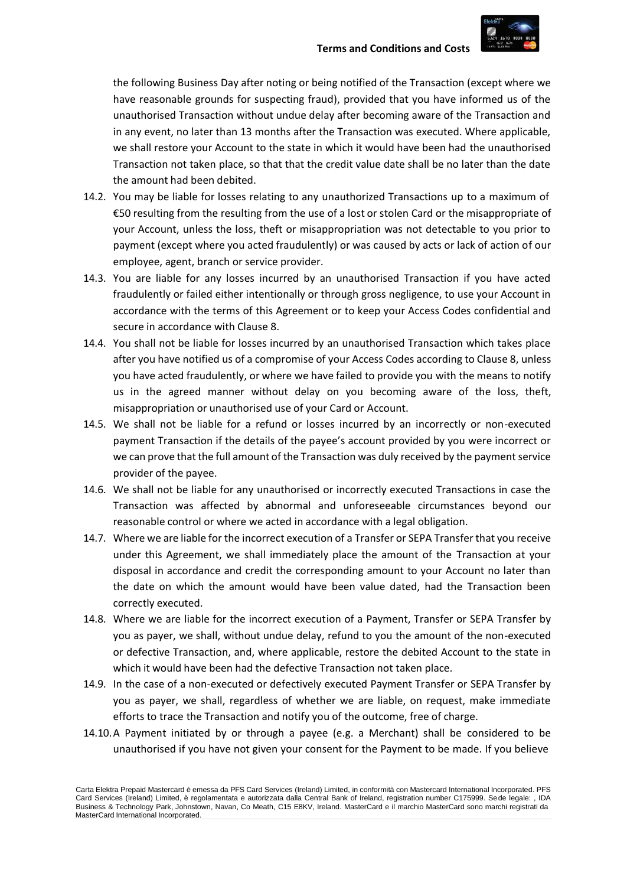

the following Business Day after noting or being notified of the Transaction (except where we have reasonable grounds for suspecting fraud), provided that you have informed us of the unauthorised Transaction without undue delay after becoming aware of the Transaction and in any event, no later than 13 months after the Transaction was executed. Where applicable, we shall restore your Account to the state in which it would have been had the unauthorised Transaction not taken place, so that that the credit value date shall be no later than the date the amount had been debited.

- 14.2. You may be liable for losses relating to any unauthorized Transactions up to a maximum of €50 resulting from the resulting from the use of a lost or stolen Card or the misappropriate of your Account, unless the loss, theft or misappropriation was not detectable to you prior to payment (except where you acted fraudulently) or was caused by acts or lack of action of our employee, agent, branch or service provider.
- 14.3. You are liable for any losses incurred by an unauthorised Transaction if you have acted fraudulently or failed either intentionally or through gross negligence, to use your Account in accordance with the terms of this Agreement or to keep your Access Codes confidential and secure in accordance with Clause 8.
- 14.4. You shall not be liable for losses incurred by an unauthorised Transaction which takes place after you have notified us of a compromise of your Access Codes according to Clause 8, unless you have acted fraudulently, or where we have failed to provide you with the means to notify us in the agreed manner without delay on you becoming aware of the loss, theft, misappropriation or unauthorised use of your Card or Account.
- 14.5. We shall not be liable for a refund or losses incurred by an incorrectly or non-executed payment Transaction if the details of the payee's account provided by you were incorrect or we can prove that the full amount of the Transaction was duly received by the payment service provider of the payee.
- 14.6. We shall not be liable for any unauthorised or incorrectly executed Transactions in case the Transaction was affected by abnormal and unforeseeable circumstances beyond our reasonable control or where we acted in accordance with a legal obligation.
- 14.7. Where we are liable for the incorrect execution of a Transfer or SEPA Transfer that you receive under this Agreement, we shall immediately place the amount of the Transaction at your disposal in accordance and credit the corresponding amount to your Account no later than the date on which the amount would have been value dated, had the Transaction been correctly executed.
- 14.8. Where we are liable for the incorrect execution of a Payment, Transfer or SEPA Transfer by you as payer, we shall, without undue delay, refund to you the amount of the non-executed or defective Transaction, and, where applicable, restore the debited Account to the state in which it would have been had the defective Transaction not taken place.
- 14.9. In the case of a non-executed or defectively executed Payment Transfer or SEPA Transfer by you as payer, we shall, regardless of whether we are liable, on request, make immediate efforts to trace the Transaction and notify you of the outcome, free of charge.
- 14.10.A Payment initiated by or through a payee (e.g. a Merchant) shall be considered to be unauthorised if you have not given your consent for the Payment to be made. If you believe

Carta Elektra Prepaid Mastercard è emessa da PFS Card Services (Ireland) Limited, in conformità con Mastercard International Incorporated. PFS Card Services (Ireland) Limited, è regolamentata e autorizzata dalla Central Bank of Ireland, registration number C175999. Sede legale: , IDA Business & Technology Park, Johnstown, Navan, Co Meath, C15 E8KV, Ireland. MasterCard e il marchio MasterCard sono marchi registrati da MasterCard International Incorporated.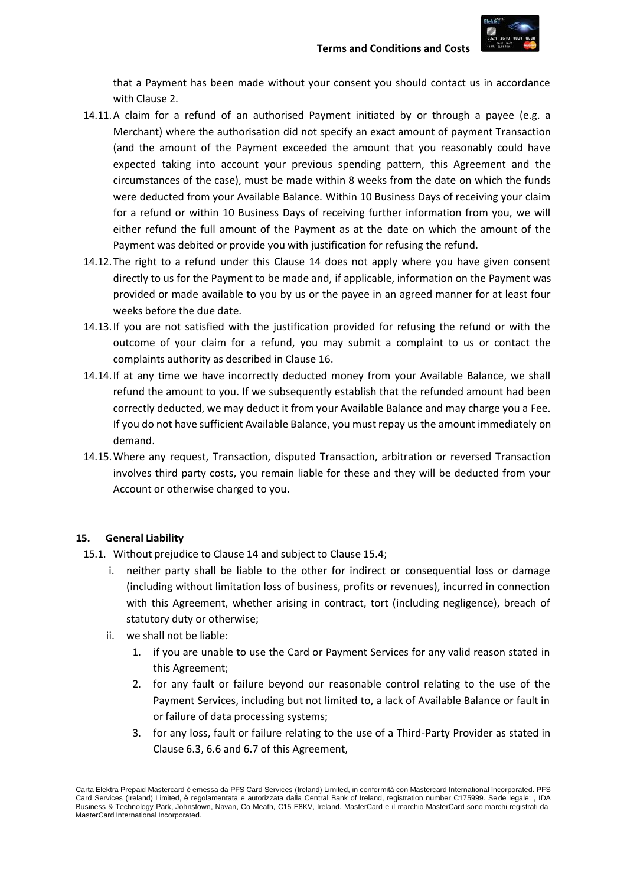

that a Payment has been made without your consent you should contact us in accordance with Clause 2.

- 14.11.A claim for a refund of an authorised Payment initiated by or through a payee (e.g. a Merchant) where the authorisation did not specify an exact amount of payment Transaction (and the amount of the Payment exceeded the amount that you reasonably could have expected taking into account your previous spending pattern, this Agreement and the circumstances of the case), must be made within 8 weeks from the date on which the funds were deducted from your Available Balance. Within 10 Business Days of receiving your claim for a refund or within 10 Business Days of receiving further information from you, we will either refund the full amount of the Payment as at the date on which the amount of the Payment was debited or provide you with justification for refusing the refund.
- 14.12.The right to a refund under this Clause 14 does not apply where you have given consent directly to us for the Payment to be made and, if applicable, information on the Payment was provided or made available to you by us or the payee in an agreed manner for at least four weeks before the due date.
- 14.13.If you are not satisfied with the justification provided for refusing the refund or with the outcome of your claim for a refund, you may submit a complaint to us or contact the complaints authority as described in Clause 16.
- 14.14.If at any time we have incorrectly deducted money from your Available Balance, we shall refund the amount to you. If we subsequently establish that the refunded amount had been correctly deducted, we may deduct it from your Available Balance and may charge you a Fee. If you do not have sufficient Available Balance, you must repay us the amount immediately on demand.
- 14.15.Where any request, Transaction, disputed Transaction, arbitration or reversed Transaction involves third party costs, you remain liable for these and they will be deducted from your Account or otherwise charged to you.

#### **15. General Liability**

15.1. Without prejudice to Clause 14 and subject to Clause 15.4;

- i. neither party shall be liable to the other for indirect or consequential loss or damage (including without limitation loss of business, profits or revenues), incurred in connection with this Agreement, whether arising in contract, tort (including negligence), breach of statutory duty or otherwise;
- ii. we shall not be liable:
	- 1. if you are unable to use the Card or Payment Services for any valid reason stated in this Agreement;
	- 2. for any fault or failure beyond our reasonable control relating to the use of the Payment Services, including but not limited to, a lack of Available Balance or fault in or failure of data processing systems;
	- 3. for any loss, fault or failure relating to the use of a Third-Party Provider as stated in Clause 6.3, 6.6 and 6.7 of this Agreement,

Carta Elektra Prepaid Mastercard è emessa da PFS Card Services (Ireland) Limited, in conformità con Mastercard International Incorporated. PFS Card Services (Ireland) Limited, è regolamentata e autorizzata dalla Central Bank of Ireland, registration number C175999. Sede legale: , IDA Business & Technology Park, Johnstown, Navan, Co Meath, C15 E8KV, Ireland. MasterCard e il marchio MasterCard sono marchi registrati da MasterCard International Incorporated.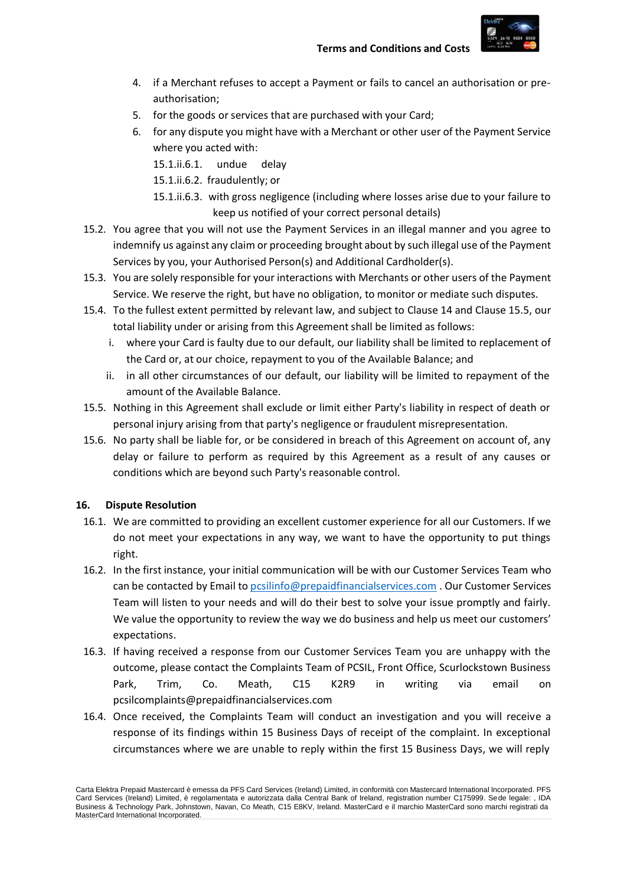- 4. if a Merchant refuses to accept a Payment or fails to cancel an authorisation or preauthorisation;
- 5. for the goods or services that are purchased with your Card;
- 6. for any dispute you might have with a Merchant or other user of the Payment Service where you acted with:
	- 15.1.ii.6.1. undue delay
	- 15.1.ii.6.2. fraudulently; or
	- 15.1.ii.6.3. with gross negligence (including where losses arise due to your failure to keep us notified of your correct personal details)
- 15.2. You agree that you will not use the Payment Services in an illegal manner and you agree to indemnify us against any claim or proceeding brought about by such illegal use of the Payment Services by you, your Authorised Person(s) and Additional Cardholder(s).
- 15.3. You are solely responsible for your interactions with Merchants or other users of the Payment Service. We reserve the right, but have no obligation, to monitor or mediate such disputes.
- 15.4. To the fullest extent permitted by relevant law, and subject to Clause 14 and Clause 15.5, our total liability under or arising from this Agreement shall be limited as follows:
	- i. where your Card is faulty due to our default, our liability shall be limited to replacement of the Card or, at our choice, repayment to you of the Available Balance; and
	- ii. in all other circumstances of our default, our liability will be limited to repayment of the amount of the Available Balance.
- 15.5. Nothing in this Agreement shall exclude or limit either Party's liability in respect of death or personal injury arising from that party's negligence or fraudulent misrepresentation.
- 15.6. No party shall be liable for, or be considered in breach of this Agreement on account of, any delay or failure to perform as required by this Agreement as a result of any causes or conditions which are beyond such Party's reasonable control.

#### **16. Dispute Resolution**

- 16.1. We are committed to providing an excellent customer experience for all our Customers. If we do not meet your expectations in any way, we want to have the opportunity to put things right.
- 16.2. In the first instance, your initial communication will be with our Customer Services Team who can be contacted by Email to [pcsilinfo@prepaidfinancialservices.com](mailto:pcsilinfo@prepaidfinancialservices.com) . Our Customer Services Team will listen to your needs and will do their best to solve your issue promptly and fairly. We value the opportunity to review the way we do business and help us meet our customers' expectations.
- 16.3. If having received a response from our Customer Services Team you are unhappy with the outcome, please contact the Complaints Team of PCSIL, Front Office, Scurlockstown Business Park, Trim, Co. Meath, C15 K2R9 in writing via email on [pcsilcomplaints@prepaidfinancialservices.com](mailto:pcsilcomplaints@prepaidfinancialservices.com)
- 16.4. Once received, the Complaints Team will conduct an investigation and you will receive a response of its findings within 15 Business Days of receipt of the complaint. In exceptional circumstances where we are unable to reply within the first 15 Business Days, we will reply

Carta Elektra Prepaid Mastercard è emessa da PFS Card Services (Ireland) Limited, in conformità con Mastercard International Incorporated. PFS Card Services (Ireland) Limited, è regolamentata e autorizzata dalla Central Bank of Ireland, registration number C175999. Sede legale: , IDA Business & Technology Park, Johnstown, Navan, Co Meath, C15 E8KV, Ireland. MasterCard e il marchio MasterCard sono marchi registrati da MasterCard International Incorporated.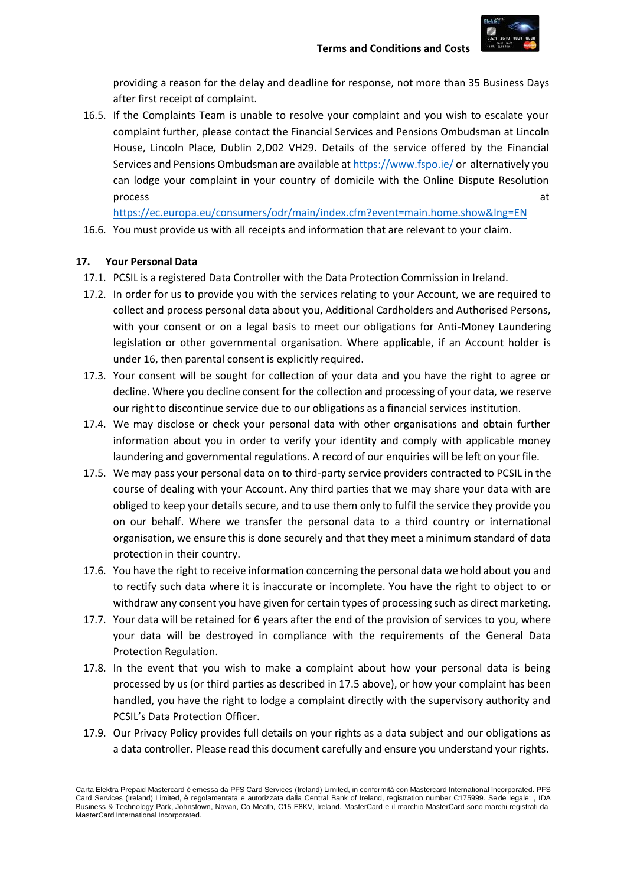

providing a reason for the delay and deadline for response, not more than 35 Business Days after first receipt of complaint.

16.5. If the Complaints Team is unable to resolve your complaint and you wish to escalate your complaint further, please contact the Financial Services and Pensions Ombudsman at Lincoln House, Lincoln Place, Dublin 2,D02 VH29. Details of the service offered by the Financial Services and Pensions Ombudsman are available at https:/[/www.fspo.ie/ or](http://www.fspo.ie/or) alternatively you can lodge your complaint in your country of domicile with the Online Dispute Resolution process at the contract of the contract of the contract of the contract of the contract of the contract of the contract of the contract of the contract of the contract of the contract of the contract of the contract of the

<https://ec.europa.eu/consumers/odr/main/index.cfm?event=main.home.show&lng=EN>

16.6. You must provide us with all receipts and information that are relevant to your claim.

#### **17. Your Personal Data**

- 17.1. PCSIL is a registered Data Controller with the Data Protection Commission in Ireland.
- 17.2. In order for us to provide you with the services relating to your Account, we are required to collect and process personal data about you, Additional Cardholders and Authorised Persons, with your consent or on a legal basis to meet our obligations for Anti-Money Laundering legislation or other governmental organisation. Where applicable, if an Account holder is under 16, then parental consent is explicitly required.
- 17.3. Your consent will be sought for collection of your data and you have the right to agree or decline. Where you decline consent for the collection and processing of your data, we reserve our right to discontinue service due to our obligations as a financial services institution.
- 17.4. We may disclose or check your personal data with other organisations and obtain further information about you in order to verify your identity and comply with applicable money laundering and governmental regulations. A record of our enquiries will be left on your file.
- 17.5. We may pass your personal data on to third-party service providers contracted to PCSIL in the course of dealing with your Account. Any third parties that we may share your data with are obliged to keep your details secure, and to use them only to fulfil the service they provide you on our behalf. Where we transfer the personal data to a third country or international organisation, we ensure this is done securely and that they meet a minimum standard of data protection in their country.
- 17.6. You have the right to receive information concerning the personal data we hold about you and to rectify such data where it is inaccurate or incomplete. You have the right to object to or withdraw any consent you have given for certain types of processing such as direct marketing.
- 17.7. Your data will be retained for 6 years after the end of the provision of services to you, where your data will be destroyed in compliance with the requirements of the General Data Protection Regulation.
- 17.8. In the event that you wish to make a complaint about how your personal data is being processed by us (or third parties as described in 17.5 above), or how your complaint has been handled, you have the right to lodge a complaint directly with the supervisory authority and PCSIL's Data Protection Officer.
- 17.9. Our Privacy Policy provides full details on your rights as a data subject and our obligations as a data controller. Please read this document carefully and ensure you understand your rights.

Carta Elektra Prepaid Mastercard è emessa da PFS Card Services (Ireland) Limited, in conformità con Mastercard International Incorporated. PFS Card Services (Ireland) Limited, è regolamentata e autorizzata dalla Central Bank of Ireland, registration number C175999. Sede legale: , IDA Business & Technology Park, Johnstown, Navan, Co Meath, C15 E8KV, Ireland. MasterCard e il marchio MasterCard sono marchi registrati da MasterCard International Incorporated.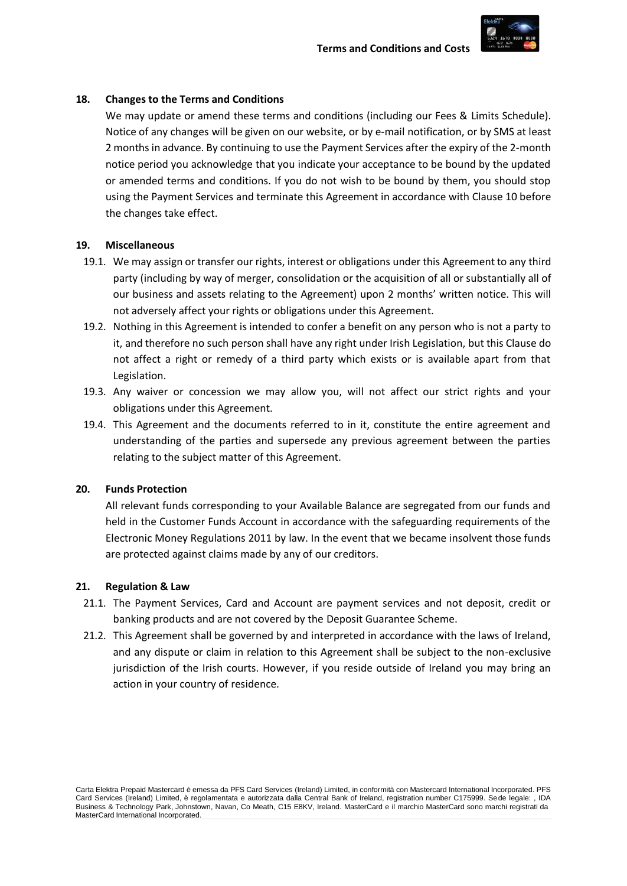

#### **18. Changes to the Terms and Conditions**

We may update or amend these terms and conditions (including our Fees & Limits Schedule). Notice of any changes will be given on our website, or by e-mail notification, or by SMS at least 2 months in advance. By continuing to use the Payment Services after the expiry of the 2-month notice period you acknowledge that you indicate your acceptance to be bound by the updated or amended terms and conditions. If you do not wish to be bound by them, you should stop using the Payment Services and terminate this Agreement in accordance with Clause 10 before the changes take effect.

#### **19. Miscellaneous**

- 19.1. We may assign or transfer our rights, interest or obligations under this Agreement to any third party (including by way of merger, consolidation or the acquisition of all or substantially all of our business and assets relating to the Agreement) upon 2 months' written notice. This will not adversely affect your rights or obligations under this Agreement.
- 19.2. Nothing in this Agreement is intended to confer a benefit on any person who is not a party to it, and therefore no such person shall have any right under Irish Legislation, but this Clause do not affect a right or remedy of a third party which exists or is available apart from that Legislation.
- 19.3. Any waiver or concession we may allow you, will not affect our strict rights and your obligations under this Agreement.
- 19.4. This Agreement and the documents referred to in it, constitute the entire agreement and understanding of the parties and supersede any previous agreement between the parties relating to the subject matter of this Agreement.

#### **20. Funds Protection**

All relevant funds corresponding to your Available Balance are segregated from our funds and held in the Customer Funds Account in accordance with the safeguarding requirements of the Electronic Money Regulations 2011 by law. In the event that we became insolvent those funds are protected against claims made by any of our creditors.

#### **21. Regulation & Law**

- 21.1. The Payment Services, Card and Account are payment services and not deposit, credit or banking products and are not covered by the Deposit Guarantee Scheme.
- 21.2. This Agreement shall be governed by and interpreted in accordance with the laws of Ireland, and any dispute or claim in relation to this Agreement shall be subject to the non-exclusive jurisdiction of the Irish courts. However, if you reside outside of Ireland you may bring an action in your country of residence.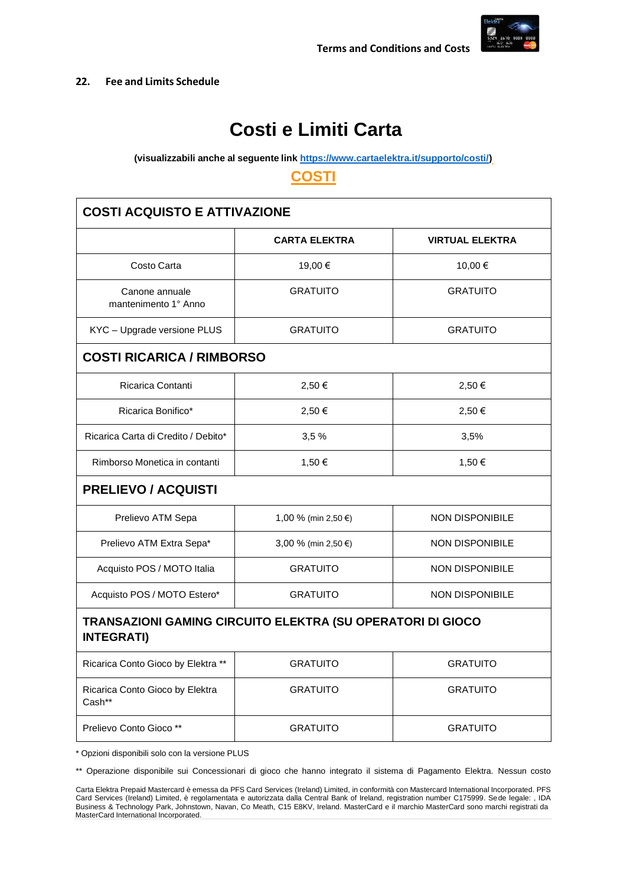

#### **22. Fee and Limits Schedule**

# **Costi e Limiti Carta**

**(visualizzabili anche al seguente link [https://www.cartaelektra.it/supporto/costi/\)](https://www.cartaelektra.it/supporto/costi/)** 

## **COSTI**

| <b>COSTI ACQUISTO E ATTIVAZIONE</b>                                             |                        |  |  |  |
|---------------------------------------------------------------------------------|------------------------|--|--|--|
| <b>CARTA ELEKTRA</b>                                                            | <b>VIRTUAL ELEKTRA</b> |  |  |  |
| 19,00 €                                                                         | 10,00 €                |  |  |  |
| <b>GRATUITO</b>                                                                 | <b>GRATUITO</b>        |  |  |  |
| <b>GRATUITO</b>                                                                 | <b>GRATUITO</b>        |  |  |  |
| <b>COSTI RICARICA / RIMBORSO</b>                                                |                        |  |  |  |
| 2,50 €                                                                          | 2,50 €                 |  |  |  |
| 2,50 €                                                                          | 2,50 €                 |  |  |  |
| 3,5%                                                                            | 3,5%                   |  |  |  |
| 1,50 €                                                                          | 1,50 €                 |  |  |  |
| <b>PRELIEVO / ACQUISTI</b>                                                      |                        |  |  |  |
| 1,00 % (min 2,50 €)                                                             | <b>NON DISPONIBILE</b> |  |  |  |
| 3,00 % (min 2,50 €)                                                             | <b>NON DISPONIBILE</b> |  |  |  |
| <b>GRATUITO</b>                                                                 | <b>NON DISPONIBILE</b> |  |  |  |
| <b>GRATUITO</b>                                                                 | <b>NON DISPONIBILE</b> |  |  |  |
| TRANSAZIONI GAMING CIRCUITO ELEKTRA (SU OPERATORI DI GIOCO<br><b>INTEGRATI)</b> |                        |  |  |  |
| <b>GRATUITO</b>                                                                 | <b>GRATUITO</b>        |  |  |  |
| <b>GRATUITO</b>                                                                 | <b>GRATUITO</b>        |  |  |  |
| <b>GRATUITO</b>                                                                 | <b>GRATUITO</b>        |  |  |  |
|                                                                                 |                        |  |  |  |

\* Opzioni disponibili solo con la versione PLUS

\*\* Operazione disponibile sui Concessionari di gioco che hanno integrato il sistema di Pagamento Elektra. Nessun costo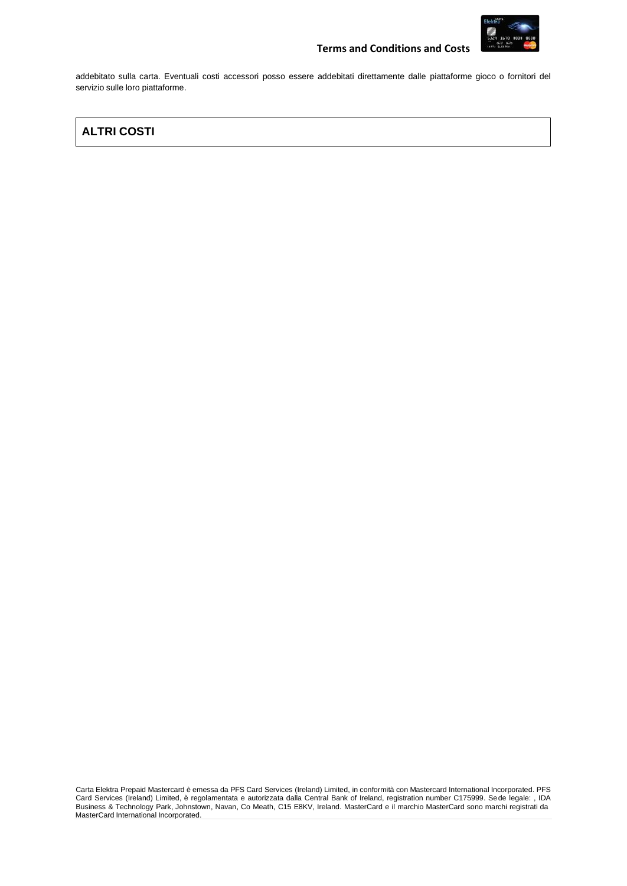

addebitato sulla carta. Eventuali costi accessori posso essere addebitati direttamente dalle piattaforme gioco o fornitori del servizio sulle loro piattaforme.

## **ALTRI COSTI**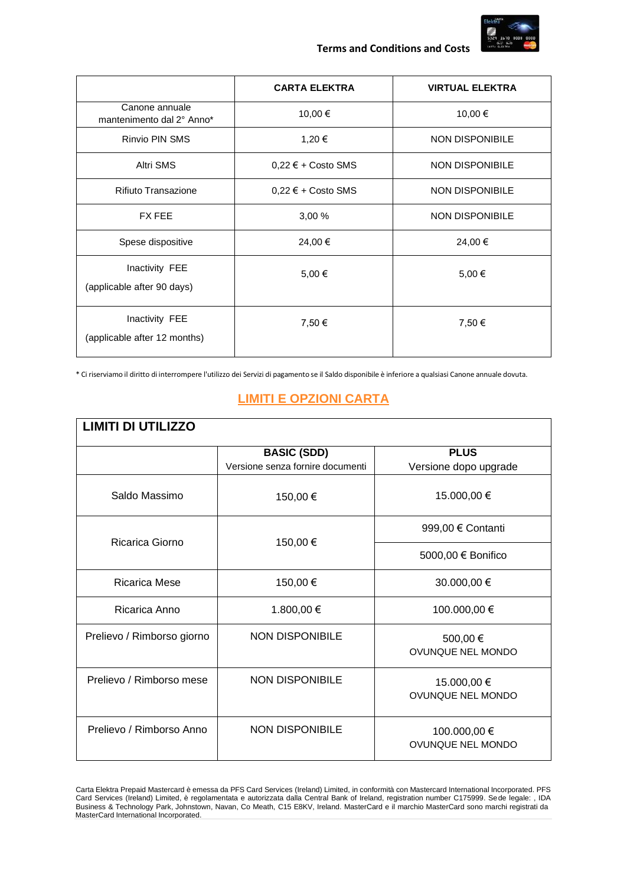#### **Terms and Conditions and Costs**



|                                                | <b>CARTA ELEKTRA</b>   | <b>VIRTUAL ELEKTRA</b> |
|------------------------------------------------|------------------------|------------------------|
| Canone annuale<br>mantenimento dal 2° Anno*    | 10,00 €                | 10,00 €                |
| Rinvio PIN SMS                                 | 1,20 €                 | <b>NON DISPONIBILE</b> |
| Altri SMS                                      | $0,22 \in +$ Costo SMS | <b>NON DISPONIBILE</b> |
| <b>Rifiuto Transazione</b>                     | $0,22 \in +$ Costo SMS | <b>NON DISPONIBILE</b> |
| <b>FX FEE</b>                                  | 3,00 %                 | <b>NON DISPONIBILE</b> |
| Spese dispositive                              | 24,00 €                | 24,00 €                |
| Inactivity FEE<br>(applicable after 90 days)   | 5,00 €                 | 5,00 €                 |
| Inactivity FEE<br>(applicable after 12 months) | 7,50 €                 | 7,50 €                 |

\* Ci riserviamo il diritto di interrompere l'utilizzo dei Servizi di pagamento se il Saldo disponibile è inferiore a qualsiasi Canone annuale dovuta.

## **LIMITI E OPZIONI CARTA**

| <b>LIMITI DI UTILIZZO</b>  |                                  |                                   |  |  |
|----------------------------|----------------------------------|-----------------------------------|--|--|
|                            | <b>BASIC (SDD)</b>               | <b>PLUS</b>                       |  |  |
|                            | Versione senza fornire documenti | Versione dopo upgrade             |  |  |
| Saldo Massimo              | 150,00 €                         | 15.000,00 €                       |  |  |
| Ricarica Giorno            | 150,00€                          | 999,00 € Contanti                 |  |  |
|                            |                                  | 5000,00 € Bonifico                |  |  |
| <b>Ricarica Mese</b>       | 150,00€                          | 30.000,00 €                       |  |  |
| Ricarica Anno              | 1.800,00 €                       | 100.000,00 €                      |  |  |
| Prelievo / Rimborso giorno | <b>NON DISPONIBILE</b>           | 500,00€<br>OVUNQUE NEL MONDO      |  |  |
| Prelievo / Rimborso mese   | <b>NON DISPONIBILE</b>           | 15.000,00 €<br>OVUNQUE NEL MONDO  |  |  |
| Prelievo / Rimborso Anno   | <b>NON DISPONIBILE</b>           | 100.000,00 €<br>OVUNQUE NEL MONDO |  |  |